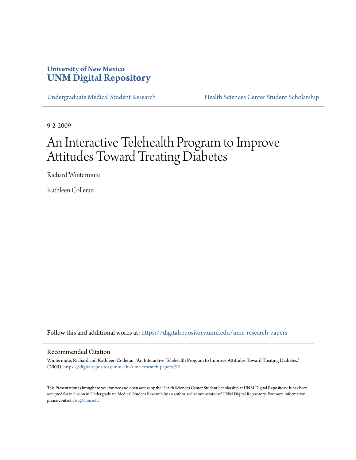### **University of New Mexico [UNM Digital Repository](https://digitalrepository.unm.edu?utm_source=digitalrepository.unm.edu%2Fume-research-papers%2F92&utm_medium=PDF&utm_campaign=PDFCoverPages)**

[Undergraduate Medical Student Research](https://digitalrepository.unm.edu/ume-research-papers?utm_source=digitalrepository.unm.edu%2Fume-research-papers%2F92&utm_medium=PDF&utm_campaign=PDFCoverPages) [Health Sciences Center Student Scholarship](https://digitalrepository.unm.edu/hsc-students?utm_source=digitalrepository.unm.edu%2Fume-research-papers%2F92&utm_medium=PDF&utm_campaign=PDFCoverPages)

9-2-2009

# An Interactive Telehealth Program to Improve Attitudes Toward Treating Diabetes

Richard Wintermute

Kathleen Colleran

Follow this and additional works at: [https://digitalrepository.unm.edu/ume-research-papers](https://digitalrepository.unm.edu/ume-research-papers?utm_source=digitalrepository.unm.edu%2Fume-research-papers%2F92&utm_medium=PDF&utm_campaign=PDFCoverPages)

#### Recommended Citation

Wintermute, Richard and Kathleen Colleran. "An Interactive Telehealth Program to Improve Attitudes Toward Treating Diabetes." (2009). [https://digitalrepository.unm.edu/ume-research-papers/92](https://digitalrepository.unm.edu/ume-research-papers/92?utm_source=digitalrepository.unm.edu%2Fume-research-papers%2F92&utm_medium=PDF&utm_campaign=PDFCoverPages)

This Presentation is brought to you for free and open access by the Health Sciences Center Student Scholarship at UNM Digital Repository. It has been accepted for inclusion in Undergraduate Medical Student Research by an authorized administrator of UNM Digital Repository. For more information, please contact [disc@unm.edu.](mailto:disc@unm.edu)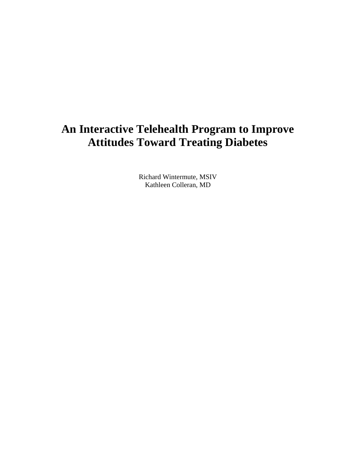# **An Interactive Telehealth Program to Improve Attitudes Toward Treating Diabetes**

Richard Wintermute, MSIV Kathleen Colleran, MD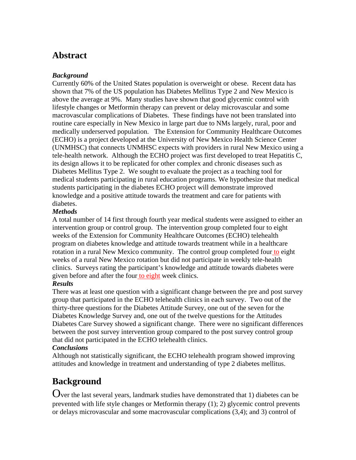## **Abstract**

#### *Background*

Currently 60% of the United States population is overweight or obese. Recent data has shown that 7% of the US population has Diabetes Mellitus Type 2 and New Mexico is above the average at 9%. Many studies have shown that good glycemic control with lifestyle changes or Metformin therapy can prevent or delay microvascular and some macrovascular complications of Diabetes. These findings have not been translated into routine care especially in New Mexico in large part due to NMs largely, rural, poor and medically underserved population. The Extension for Community Healthcare Outcomes (ECHO) is a project developed at the University of New Mexico Health Science Center (UNMHSC) that connects UNMHSC expects with providers in rural New Mexico using a tele-health network. Although the ECHO project was first developed to treat Hepatitis C, its design allows it to be replicated for other complex and chronic diseases such as Diabetes Mellitus Type 2. We sought to evaluate the project as a teaching tool for medical students participating in rural education programs. We hypothesize that medical students participating in the diabetes ECHO project will demonstrate improved knowledge and a positive attitude towards the treatment and care for patients with diabetes.

#### *Methods*

A total number of 14 first through fourth year medical students were assigned to either an intervention group or control group. The intervention group completed four to eight weeks of the Extension for Community Healthcare Outcomes (ECHO) telehealth program on diabetes knowledge and attitude towards treatment while in a healthcare rotation in a rural New Mexico community. The control group completed four to eight weeks of a rural New Mexico rotation but did not participate in weekly tele-health clinics. Surveys rating the participant's knowledge and attitude towards diabetes were given before and after the four to eight week clinics.

#### *Results*

There was at least one question with a significant change between the pre and post survey group that participated in the ECHO telehealth clinics in each survey. Two out of the thirty-three questions for the Diabetes Attitude Survey, one out of the seven for the Diabetes Knowledge Survey and, one out of the twelve questions for the Attitudes Diabetes Care Survey showed a significant change. There were no significant differences between the post survey intervention group compared to the post survey control group that did not participated in the ECHO telehealth clinics.

#### *Conclusions*

Although not statistically significant, the ECHO telehealth program showed improving attitudes and knowledge in treatment and understanding of type 2 diabetes mellitus.

# **Background**

Over the last several years, landmark studies have demonstrated that 1) diabetes can be prevented with life style changes or Metformin therapy (1); 2) glycemic control prevents or delays microvascular and some macrovascular complications (3,4); and 3) control of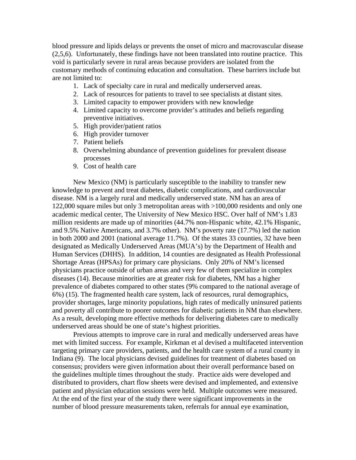blood pressure and lipids delays or prevents the onset of micro and macrovascular disease (2,5,6). Unfortunately, these findings have not been translated into routine practice. This void is particularly severe in rural areas because providers are isolated from the customary methods of continuing education and consultation. These barriers include but are not limited to:

- 1. Lack of specialty care in rural and medically underserved areas.
- 2. Lack of resources for patients to travel to see specialists at distant sites.
- 3. Limited capacity to empower providers with new knowledge
- 4. Limited capacity to overcome provider's attitudes and beliefs regarding preventive initiatives.
- 5. High provider/patient ratios
- 6. High provider turnover
- 7. Patient beliefs
- 8. Overwhelming abundance of prevention guidelines for prevalent disease processes
- 9. Cost of health care

 New Mexico (NM) is particularly susceptible to the inability to transfer new knowledge to prevent and treat diabetes, diabetic complications, and cardiovascular disease. NM is a largely rural and medically underserved state. NM has an area of 122,000 square miles but only 3 metropolitan areas with >100,000 residents and only one academic medical center, The University of New Mexico HSC. Over half of NM's 1.83 million residents are made up of minorities (44.7% non-Hispanic white, 42.1% Hispanic, and 9.5% Native Americans, and 3.7% other). NM's poverty rate (17.7%) led the nation in both 2000 and 2001 (national average 11.7%). Of the states 33 counties, 32 have been designated as Medically Underserved Areas (MUA's) by the Department of Health and Human Services (DHHS). In addition, 14 counties are designated as Health Professional Shortage Areas (HPSAs) for primary care physicians. Only 20% of NM's licensed physicians practice outside of urban areas and very few of them specialize in complex diseases (14). Because minorities are at greater risk for diabetes, NM has a higher prevalence of diabetes compared to other states (9% compared to the national average of 6%) (15). The fragmented health care system, lack of resources, rural demographics, provider shortages, large minority populations, high rates of medically uninsured patients and poverty all contribute to poorer outcomes for diabetic patients in NM than elsewhere. As a result, developing more effective methods for delivering diabetes care to medically underserved areas should be one of state's highest priorities.

 Previous attempts to improve care in rural and medically underserved areas have met with limited success. For example, Kirkman et al devised a multifaceted intervention targeting primary care providers, patients, and the health care system of a rural county in Indiana (9). The local physicians devised guidelines for treatment of diabetes based on consensus; providers were given information about their overall performance based on the guidelines multiple times throughout the study. Practice aids were developed and distributed to providers, chart flow sheets were devised and implemented, and extensive patient and physician education sessions were held. Multiple outcomes were measured. At the end of the first year of the study there were significant improvements in the number of blood pressure measurements taken, referrals for annual eye examination,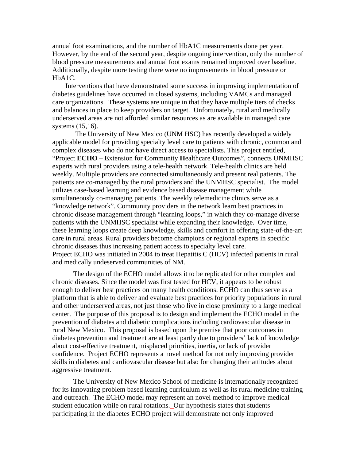annual foot examinations, and the number of HbA1C measurements done per year. However, by the end of the second year, despite ongoing intervention, only the number of blood pressure measurements and annual foot exams remained improved over baseline. Additionally, despite more testing there were no improvements in blood pressure or HbA1C.

 Interventions that have demonstrated some success in improving implementation of diabetes guidelines have occurred in closed systems, including VAMCs and managed care organizations. These systems are unique in that they have multiple tiers of checks and balances in place to keep providers on target. Unfortunately, rural and medically underserved areas are not afforded similar resources as are available in managed care systems (15,16).

 The University of New Mexico (UNM HSC) has recently developed a widely applicable model for providing specialty level care to patients with chronic, common and complex diseases who do not have direct access to specialists. This project entitled, "Project **ECHO** – **E**xtension for **C**ommunity **H**ealthcare **O**utcomes", connects UNMHSC experts with rural providers using a tele-health network. Tele-health clinics are held weekly. Multiple providers are connected simultaneously and present real patients. The patients are co-managed by the rural providers and the UNMHSC specialist. The model utilizes case-based learning and evidence based disease management while simultaneously co-managing patients. The weekly telemedicine clinics serve as a "knowledge network". Community providers in the network learn best practices in chronic disease management through "learning loops," in which they co-manage diverse patients with the UNMHSC specialist while expanding their knowledge. Over time, these learning loops create deep knowledge, skills and comfort in offering state-of-the-art care in rural areas. Rural providers become champions or regional experts in specific chronic diseases thus increasing patient access to specialty level care. Project ECHO was initiated in 2004 to treat Hepatitis C (HCV) infected patients in rural and medically undeserved communities of NM.

 The design of the ECHO model allows it to be replicated for other complex and chronic diseases. Since the model was first tested for HCV, it appears to be robust enough to deliver best practices on many health conditions. ECHO can thus serve as a platform that is able to deliver and evaluate best practices for priority populations in rural and other underserved areas, not just those who live in close proximity to a large medical center. The purpose of this proposal is to design and implement the ECHO model in the prevention of diabetes and diabetic complications including cardiovascular disease in rural New Mexico. This proposal is based upon the premise that poor outcomes in diabetes prevention and treatment are at least partly due to providers' lack of knowledge about cost-effective treatment, misplaced priorities, inertia, or lack of provider confidence. Project ECHO represents a novel method for not only improving provider skills in diabetes and cardiovascular disease but also for changing their attitudes about aggressive treatment.

 The University of New Mexico School of medicine is internationally recognized for its innovating problem based learning curriculum as well as its rural medicine training and outreach. The ECHO model may represent an novel method to improve medical student education while on rural rotations. Our hypothesis states that students participating in the diabetes ECHO project will demonstrate not only improved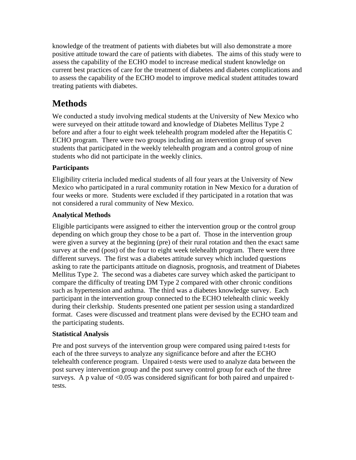knowledge of the treatment of patients with diabetes but will also demonstrate a more positive attitude toward the care of patients with diabetes. The aims of this study were to assess the capability of the ECHO model to increase medical student knowledge on current best practices of care for the treatment of diabetes and diabetes complications and to assess the capability of the ECHO model to improve medical student attitudes toward treating patients with diabetes.

## **Methods**

We conducted a study involving medical students at the University of New Mexico who were surveyed on their attitude toward and knowledge of Diabetes Mellitus Type 2 before and after a four to eight week telehealth program modeled after the Hepatitis C ECHO program. There were two groups including an intervention group of seven students that participated in the weekly telehealth program and a control group of nine students who did not participate in the weekly clinics.

### **Participants**

Eligibility criteria included medical students of all four years at the University of New Mexico who participated in a rural community rotation in New Mexico for a duration of four weeks or more. Students were excluded if they participated in a rotation that was not considered a rural community of New Mexico.

#### **Analytical Methods**

Eligible participants were assigned to either the intervention group or the control group depending on which group they chose to be a part of. Those in the intervention group were given a survey at the beginning (pre) of their rural rotation and then the exact same survey at the end (post) of the four to eight week telehealth program. There were three different surveys. The first was a diabetes attitude survey which included questions asking to rate the participants attitude on diagnosis, prognosis, and treatment of Diabetes Mellitus Type 2. The second was a diabetes care survey which asked the participant to compare the difficulty of treating DM Type 2 compared with other chronic conditions such as hypertension and asthma. The third was a diabetes knowledge survey. Each participant in the intervention group connected to the ECHO telehealth clinic weekly during their clerkship. Students presented one patient per session using a standardized format. Cases were discussed and treatment plans were devised by the ECHO team and the participating students.

#### **Statistical Analysis**

Pre and post surveys of the intervention group were compared using paired t-tests for each of the three surveys to analyze any significance before and after the ECHO telehealth conference program. Unpaired t-tests were used to analyze data between the post survey intervention group and the post survey control group for each of the three surveys. A p value of  $< 0.05$  was considered significant for both paired and unpaired ttests.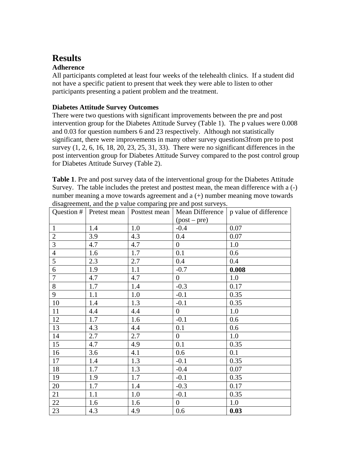## **Results**

#### **Adherence**

All participants completed at least four weeks of the telehealth clinics. If a student did not have a specific patient to present that week they were able to listen to other participants presenting a patient problem and the treatment.

#### **Diabetes Attitude Survey Outcomes**

There were two questions with significant improvements between the pre and post intervention group for the Diabetes Attitude Survey (Table 1). The p values were 0.008 and 0.03 for question numbers 6 and 23 respectively. Although not statistically significant, there were improvements in many other survey questions3from pre to post survey  $(1, 2, 6, 16, 18, 20, 23, 25, 31, 33)$ . There were no significant differences in the post intervention group for Diabetes Attitude Survey compared to the post control group for Diabetes Attitude Survey (Table 2).

**Table 1**. Pre and post survey data of the interventional group for the Diabetes Attitude Survey. The table includes the pretest and posttest mean, the mean difference with a (-) number meaning a move towards agreement and a (+) number meaning move towards disagreement, and the p value comparing pre and post surveys.

|                |     | Question #   Pretest mean   Posttest mean |                | Mean Difference   p value of difference |
|----------------|-----|-------------------------------------------|----------------|-----------------------------------------|
|                |     |                                           | $(post - pre)$ |                                         |
| $\mathbf{1}$   | 1.4 | 1.0                                       | $-0.4$         | 0.07                                    |
| $\overline{2}$ | 3.9 | 4.3                                       | 0.4            | 0.07                                    |
| 3              | 4.7 | 4.7                                       | $\overline{0}$ | 1.0                                     |
| $\overline{4}$ | 1.6 | 1.7                                       | 0.1            | 0.6                                     |
| 5              | 2.3 | 2.7                                       | 0.4            | 0.4                                     |
| 6              | 1.9 | 1.1                                       | $-0.7$         | 0.008                                   |
| $\overline{7}$ | 4.7 | 4.7                                       | $\overline{0}$ | 1.0                                     |
| 8              | 1.7 | 1.4                                       | $-0.3$         | 0.17                                    |
| 9              | 1.1 | 1.0                                       | $-0.1$         | 0.35                                    |
| 10             | 1.4 | 1.3                                       | $-0.1$         | 0.35                                    |
| 11             | 4.4 | 4.4                                       | $\overline{0}$ | 1.0                                     |
| 12             | 1.7 | 1.6                                       | $-0.1$         | 0.6                                     |
| 13             | 4.3 | 4.4                                       | 0.1            | 0.6                                     |
| 14             | 2.7 | 2.7                                       | $\overline{0}$ | 1.0                                     |
| 15             | 4.7 | 4.9                                       | 0.1            | 0.35                                    |
| 16             | 3.6 | 4.1                                       | 0.6            | 0.1                                     |
| 17             | 1.4 | 1.3                                       | $-0.1$         | 0.35                                    |
| 18             | 1.7 | 1.3                                       | $-0.4$         | 0.07                                    |
| 19             | 1.9 | 1.7                                       | $-0.1$         | 0.35                                    |
| 20             | 1.7 | 1.4                                       | $-0.3$         | 0.17                                    |
| 21             | 1.1 | 1.0                                       | $-0.1$         | 0.35                                    |
| 22             | 1.6 | 1.6                                       | $\overline{0}$ | 1.0                                     |
| 23             | 4.3 | 4.9                                       | 0.6            | 0.03                                    |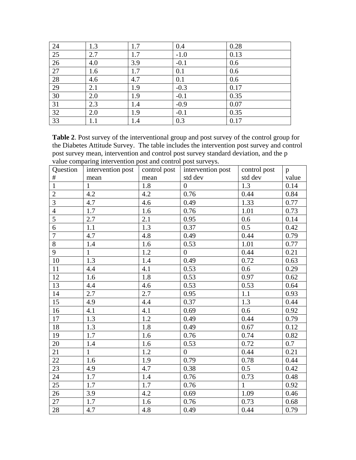| 24              | 1.3 | 1.7 | 0.4    | 0.28 |
|-----------------|-----|-----|--------|------|
| 25              | 2.7 | 1.7 | $-1.0$ | 0.13 |
| $\overline{26}$ | 4.0 | 3.9 | $-0.1$ | 0.6  |
| 27              | 1.6 | 1.7 | 0.1    | 0.6  |
| 28              | 4.6 | 4.7 | 0.1    | 0.6  |
| 29              | 2.1 | 1.9 | $-0.3$ | 0.17 |
| $30\,$          | 2.0 | 1.9 | $-0.1$ | 0.35 |
| 31              | 2.3 | 1.4 | $-0.9$ | 0.07 |
| 32              | 2.0 | 1.9 | $-0.1$ | 0.35 |
| 33              | 1.1 | 1.4 | 0.3    | 0.17 |

**Table 2**. Post survey of the interventional group and post survey of the control group for the Diabetes Attitude Survey. The table includes the intervention post survey and control post survey mean, intervention and control post survey standard deviation, and the p value comparing intervention post and control post surveys.

| Question       | intervention post | control post | intervention post | control post | $\mathbf{p}$ |
|----------------|-------------------|--------------|-------------------|--------------|--------------|
| $\#$           | mean              | mean         | std dev           | std dev      | value        |
| $\overline{1}$ | $\mathbf{1}$      | 1.8          | $\overline{0}$    | 1.3          | 0.14         |
| $\overline{2}$ | 4.2               | 4.2          | 0.76              | 0.44         | 0.84         |
| $\overline{3}$ | 4.7               | 4.6          | 0.49              | 1.33         | 0.77         |
| $\overline{4}$ | $1.7\,$           | 1.6          | 0.76              | 1.01         | 0.73         |
| $\overline{5}$ | 2.7               | 2.1          | 0.95              | 0.6          | 0.14         |
| $\overline{6}$ | 1.1               | 1.3          | 0.37              | 0.5          | 0.42         |
| $\overline{7}$ | 4.7               | 4.8          | 0.49              | 0.44         | 0.79         |
| $\overline{8}$ | 1.4               | 1.6          | 0.53              | 1.01         | 0.77         |
| 9              | $\mathbf{1}$      | 1.2          | $\overline{0}$    | 0.44         | 0.21         |
| 10             | 1.3               | 1.4          | 0.49              | 0.72         | 0.63         |
| 11             | 4.4               | 4.1          | 0.53              | 0.6          | 0.29         |
| 12             | 1.6               | 1.8          | 0.53              | 0.97         | 0.62         |
| 13             | 4.4               | 4.6          | 0.53              | 0.53         | 0.64         |
| 14             | 2.7               | 2.7          | 0.95              | 1.1          | 0.93         |
| 15             | 4.9               | 4.4          | 0.37              | 1.3          | 0.44         |
| 16             | 4.1               | 4.1          | 0.69              | 0.6          | 0.92         |
| 17             | 1.3               | 1.2          | 0.49              | 0.44         | 0.79         |
| 18             | 1.3               | 1.8          | 0.49              | 0.67         | 0.12         |
| 19             | 1.7               | 1.6          | 0.76              | 0.74         | 0.82         |
| 20             | 1.4               | 1.6          | 0.53              | 0.72         | 0.7          |
| 21             | $\mathbf{1}$      | 1.2          | $\overline{0}$    | 0.44         | 0.21         |
| 22             | 1.6               | 1.9          | 0.79              | 0.78         | 0.44         |
| 23             | 4.9               | 4.7          | 0.38              | 0.5          | 0.42         |
| 24             | 1.7               | 1.4          | 0.76              | 0.73         | 0.48         |
| 25             | 1.7               | 1.7          | 0.76              | $\mathbf{1}$ | 0.92         |
| 26             | 3.9               | 4.2          | 0.69              | 1.09         | 0.46         |
| 27             | 1.7               | 1.6          | 0.76              | 0.73         | 0.68         |
| 28             | 4.7               | 4.8          | 0.49              | 0.44         | 0.79         |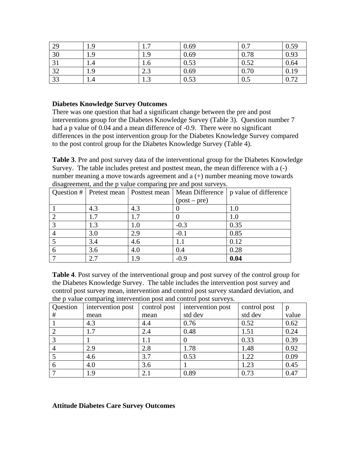| 29                | 1.9 | −<br>.        | 0.69 | 0.7  | 0.59 |
|-------------------|-----|---------------|------|------|------|
| 30                | 1.9 | 1.9           | 0.69 | 0.78 | 0.93 |
| $\bigcap$ 1<br>JІ | 1.4 | 1.0           | 0.53 | 0.52 | 0.64 |
| 32                | 1.9 | $\cap$<br>ن ک | 0.69 | 0.70 | 0.19 |
| 33                | 1.4 | 1.J           | 0.53 | 0.5  | 0.72 |

#### **Diabetes Knowledge Survey Outcomes**

There was one question that had a significant change between the pre and post interventions group for the Diabetes Knowledge Survey (Table 3). Question number 7 had a p value of 0.04 and a mean difference of -0.9. There were no significant differences in the post intervention group for the Diabetes Knowledge Survey compared to the post control group for the Diabetes Knowledge Survey (Table 4).

**Table 3**. Pre and post survey data of the interventional group for the Diabetes Knowledge Survey. The table includes pretest and posttest mean, the mean difference with a (-) number meaning a move towards agreement and a (+) number meaning move towards disagreement, and the p value comparing pre and post surveys.

|     | Question #   Pretest mean   Posttest mean |              | Mean Difference   p value of difference |
|-----|-------------------------------------------|--------------|-----------------------------------------|
|     |                                           | $(post-pre)$ |                                         |
| 4.3 | 4.3                                       |              | 1.0                                     |
| 1.7 |                                           |              | $1.0\,$                                 |
| 1.3 | 1.0                                       | $-0.3$       | 0.35                                    |
| 3.0 | 2.9                                       | $-0.1$       | 0.85                                    |
| 3.4 | 4.6                                       | 1.1          | 0.12                                    |
| 3.6 | 4.0                                       | 0.4          | 0.28                                    |
| 2.7 | ΙQ                                        | $-0.9$       | 0.04                                    |

**Table 4**. Post survey of the interventional group and post survey of the control group for the Diabetes Knowledge Survey. The table includes the intervention post survey and control post survey mean, intervention and control post survey standard deviation, and the p value comparing intervention post and control post surveys.

| Question | intervention post | control post | intervention post | control post | p     |
|----------|-------------------|--------------|-------------------|--------------|-------|
| #        | mean              | mean         | std dev           | std dev      | value |
|          | 4.3               | 4.4          | 0.76              | 0.52         | 0.62  |
|          | 1.7               | 2.4          | 0.48              | 1.51         | 0.24  |
|          |                   | 1.1          |                   | 0.33         | 0.39  |
|          | 2.9               | 2.8          | 1.78              | 1.48         | 0.92  |
|          | 4.6               | 3.7          | 0.53              | 1.22         | 0.09  |
| 6        | 4.0               | 3.6          |                   | 1.23         | 0.45  |
|          | 1.9               | 2.1          | 0.89              | 0.73         | 0.47  |

#### **Attitude Diabetes Care Survey Outcomes**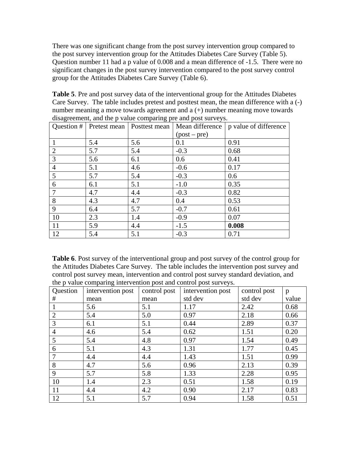There was one significant change from the post survey intervention group compared to the post survey intervention group for the Attitudes Diabetes Care Survey (Table 5). Question number 11 had a p value of 0.008 and a mean difference of -1.5. There were no significant changes in the post survey intervention compared to the post survey control group for the Attitudes Diabetes Care Survey (Table 6).

**Table 5**. Pre and post survey data of the interventional group for the Attitudes Diabetes Care Survey. The table includes pretest and posttest mean, the mean difference with a (-) number meaning a move towards agreement and a (+) number meaning move towards disagreement, and the p value comparing pre and post surveys.

| Question #     | Pretest mean | Posttest mean | Mean difference | p value of difference |
|----------------|--------------|---------------|-----------------|-----------------------|
|                |              |               | $(post-pre)$    |                       |
|                | 5.4          | 5.6           | 0.1             | 0.91                  |
| $\overline{2}$ | 5.7          | 5.4           | $-0.3$          | 0.68                  |
| 3              | 5.6          | 6.1           | 0.6             | 0.41                  |
| $\overline{4}$ | 5.1          | 4.6           | $-0.6$          | 0.17                  |
| 5              | 5.7          | 5.4           | $-0.3$          | 0.6                   |
| 6              | 6.1          | 5.1           | $-1.0$          | 0.35                  |
|                | 4.7          | 4.4           | $-0.3$          | 0.82                  |
| 8              | 4.3          | 4.7           | 0.4             | 0.53                  |
| 9              | 6.4          | 5.7           | $-0.7$          | 0.61                  |
| 10             | 2.3          | 1.4           | $-0.9$          | 0.07                  |
| 11             | 5.9          | 4.4           | $-1.5$          | 0.008                 |
| 12             | 5.4          | 5.1           | $-0.3$          | 0.71                  |

**Table 6**. Post survey of the interventional group and post survey of the control group for the Attitudes Diabetes Care Survey. The table includes the intervention post survey and control post survey mean, intervention and control post survey standard deviation, and the p value comparing intervention post and control post surveys.

| Question       | O<br>intervention post | control post | intervention post | control post | p     |
|----------------|------------------------|--------------|-------------------|--------------|-------|
| #              | mean                   | mean         | std dev           | std dev      | value |
|                | 5.6                    | 5.1          | 1.17              | 2.42         | 0.68  |
| $\overline{2}$ | 5.4                    | 5.0          | 0.97              | 2.18         | 0.66  |
| 3              | 6.1                    | 5.1          | 0.44              | 2.89         | 0.37  |
| $\overline{4}$ | 4.6                    | 5.4          | 0.62              | 1.51         | 0.20  |
| 5              | 5.4                    | 4.8          | 0.97              | 1.54         | 0.49  |
| 6              | 5.1                    | 4.3          | 1.31              | 1.77         | 0.45  |
|                | 4.4                    | 4.4          | 1.43              | 1.51         | 0.99  |
| 8              | 4.7                    | 5.6          | 0.96              | 2.13         | 0.39  |
| 9              | 5.7                    | 5.8          | 1.33              | 2.28         | 0.95  |
| 10             | 1.4                    | 2.3          | 0.51              | 1.58         | 0.19  |
| 11             | 4.4                    | 4.2          | 0.90              | 2.17         | 0.83  |
| 12             | 5.1                    | 5.7          | 0.94              | 1.58         | 0.51  |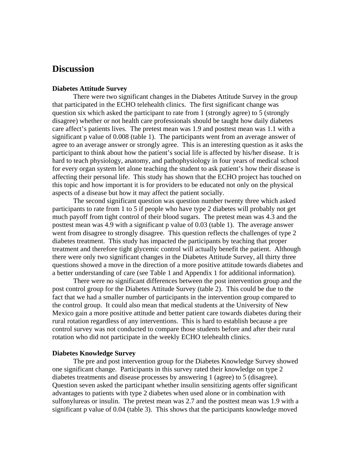### **Discussion**

#### **Diabetes Attitude Survey**

 There were two significant changes in the Diabetes Attitude Survey in the group that participated in the ECHO telehealth clinics. The first significant change was question six which asked the participant to rate from 1 (strongly agree) to 5 (strongly disagree) whether or not health care professionals should be taught how daily diabetes care affect's patients lives. The pretest mean was 1.9 and posttest mean was 1.1 with a significant p value of 0.008 (table 1). The participants went from an average answer of agree to an average answer or strongly agree. This is an interesting question as it asks the participant to think about how the patient's social life is affected by his/her disease. It is hard to teach physiology, anatomy, and pathophysiology in four years of medical school for every organ system let alone teaching the student to ask patient's how their disease is affecting their personal life. This study has shown that the ECHO project has touched on this topic and how important it is for providers to be educated not only on the physical aspects of a disease but how it may affect the patient socially.

 The second significant question was question number twenty three which asked participants to rate from 1 to 5 if people who have type 2 diabetes will probably not get much payoff from tight control of their blood sugars. The pretest mean was 4.3 and the posttest mean was 4.9 with a significant p value of 0.03 (table 1). The average answer went from disagree to strongly disagree. This question reflects the challenges of type 2 diabetes treatment. This study has impacted the participants by teaching that proper treatment and therefore tight glycemic control will actually benefit the patient. Although there were only two significant changes in the Diabetes Attitude Survey, all thirty three questions showed a move in the direction of a more positive attitude towards diabetes and a better understanding of care (see Table 1 and Appendix 1 for additional information).

 There were no significant differences between the post intervention group and the post control group for the Diabetes Attitude Survey (table 2). This could be due to the fact that we had a smaller number of participants in the intervention group compared to the control group. It could also mean that medical students at the University of New Mexico gain a more positive attitude and better patient care towards diabetes during their rural rotation regardless of any interventions. This is hard to establish because a pre control survey was not conducted to compare those students before and after their rural rotation who did not participate in the weekly ECHO telehealth clinics.

#### **Diabetes Knowledge Survey**

 The pre and post intervention group for the Diabetes Knowledge Survey showed one significant change. Participants in this survey rated their knowledge on type 2 diabetes treatments and disease processes by answering 1 (agree) to 5 (disagree). Question seven asked the participant whether insulin sensitizing agents offer significant advantages to patients with type 2 diabetes when used alone or in combination with sulfonylureas or insulin. The pretest mean was 2.7 and the posttest mean was 1.9 with a significant p value of 0.04 (table 3). This shows that the participants knowledge moved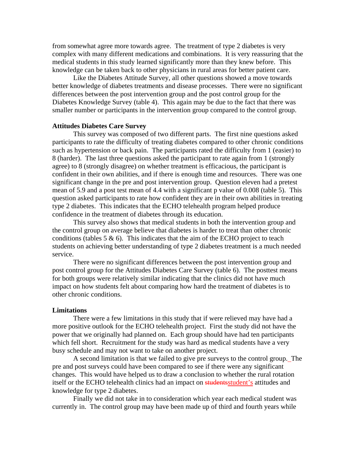from somewhat agree more towards agree. The treatment of type 2 diabetes is very complex with many different medications and combinations. It is very reassuring that the medical students in this study learned significantly more than they knew before. This knowledge can be taken back to other physicians in rural areas for better patient care.

 Like the Diabetes Attitude Survey, all other questions showed a move towards better knowledge of diabetes treatments and disease processes. There were no significant differences between the post intervention group and the post control group for the Diabetes Knowledge Survey (table 4). This again may be due to the fact that there was smaller number or participants in the intervention group compared to the control group.

#### **Attitudes Diabetes Care Survey**

This survey was composed of two different parts. The first nine questions asked participants to rate the difficulty of treating diabetes compared to other chronic conditions such as hypertension or back pain. The participants rated the difficulty from 1 (easier) to 8 (harder). The last three questions asked the participant to rate again from 1 (strongly agree) to 8 (strongly disagree) on whether treatment is efficacious, the participant is confident in their own abilities, and if there is enough time and resources. There was one significant change in the pre and post intervention group. Question eleven had a pretest mean of 5.9 and a post test mean of 4.4 with a significant p value of 0.008 (table 5). This question asked participants to rate how confident they are in their own abilities in treating type 2 diabetes. This indicates that the ECHO telehealth program helped produce confidence in the treatment of diabetes through its education.

 This survey also shows that medical students in both the intervention group and the control group on average believe that diabetes is harder to treat than other chronic conditions (tables  $5 \& 6$ ). This indicates that the aim of the ECHO project to teach students on achieving better understanding of type 2 diabetes treatment is a much needed service.

 There were no significant differences between the post intervention group and post control group for the Attitudes Diabetes Care Survey (table 6). The posttest means for both groups were relatively similar indicating that the clinics did not have much impact on how students felt about comparing how hard the treatment of diabetes is to other chronic conditions.

#### **Limitations**

 There were a few limitations in this study that if were relieved may have had a more positive outlook for the ECHO telehealth project. First the study did not have the power that we originally had planned on. Each group should have had ten participants which fell short. Recruitment for the study was hard as medical students have a very busy schedule and may not want to take on another project.

 A second limitation is that we failed to give pre surveys to the control group. The pre and post surveys could have been compared to see if there were any significant changes. This would have helped us to draw a conclusion to whether the rural rotation itself or the ECHO telehealth clinics had an impact on students student's attitudes and knowledge for type 2 diabetes.

 Finally we did not take in to consideration which year each medical student was currently in. The control group may have been made up of third and fourth years while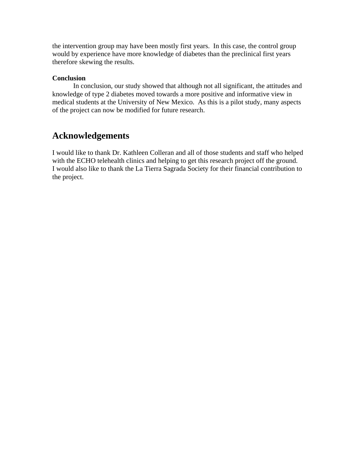the intervention group may have been mostly first years. In this case, the control group would by experience have more knowledge of diabetes than the preclinical first years therefore skewing the results.

#### **Conclusion**

 In conclusion, our study showed that although not all significant, the attitudes and knowledge of type 2 diabetes moved towards a more positive and informative view in medical students at the University of New Mexico. As this is a pilot study, many aspects of the project can now be modified for future research.

## **Acknowledgements**

I would like to thank Dr. Kathleen Colleran and all of those students and staff who helped with the ECHO telehealth clinics and helping to get this research project off the ground. I would also like to thank the La Tierra Sagrada Society for their financial contribution to the project.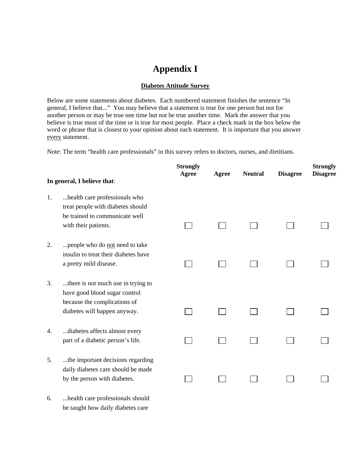## **Appendix I**

#### **Diabetes Attitude Survey**

Below are some statements about diabetes. Each numbered statement finishes the sentence "In general, I believe that..." You may believe that a statement is true for one person but not for another person or may be true one time but not be true another time. Mark the answer that you believe is true most of the time or is true for most people. Place a check mark in the box below the word or phrase that is closest to your opinion about each statement. It is important that you answer every statement.

Note: The term "health care professionals" in this survey refers to doctors, nurses, and dietitians.

|    | In general, I believe that:                                                                                                         | <b>Strongly</b><br><b>Agree</b> | Agree | <b>Neutral</b> | <b>Disagree</b> | <b>Strongly</b><br><b>Disagree</b> |
|----|-------------------------------------------------------------------------------------------------------------------------------------|---------------------------------|-------|----------------|-----------------|------------------------------------|
| 1. | health care professionals who<br>treat people with diabetes should<br>be trained to communicate well<br>with their patients.        |                                 |       |                |                 |                                    |
| 2. | people who do not need to take<br>insulin to treat their diabetes have<br>a pretty mild disease.                                    |                                 |       |                |                 |                                    |
| 3. | there is not much use in trying to<br>have good blood sugar control<br>because the complications of<br>diabetes will happen anyway. |                                 |       |                |                 |                                    |
| 4. | diabetes affects almost every<br>part of a diabetic person's life.                                                                  |                                 |       |                |                 |                                    |
| 5. | the important decisions regarding<br>daily diabetes care should be made<br>by the person with diabetes.                             |                                 |       |                |                 |                                    |

6. ...health care professionals should be taught how daily diabetes care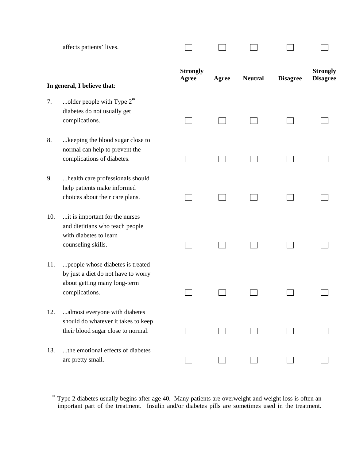|     | affects patients' lives.                                                                                                  |                          |       |                |                 |                                    |
|-----|---------------------------------------------------------------------------------------------------------------------------|--------------------------|-------|----------------|-----------------|------------------------------------|
|     | In general, I believe that:                                                                                               | <b>Strongly</b><br>Agree | Agree | <b>Neutral</b> | <b>Disagree</b> | <b>Strongly</b><br><b>Disagree</b> |
| 7.  | older people with Type $2^*$<br>diabetes do not usually get<br>complications.                                             |                          |       |                |                 |                                    |
| 8.  | keeping the blood sugar close to<br>normal can help to prevent the<br>complications of diabetes.                          |                          |       |                |                 |                                    |
| 9.  | health care professionals should<br>help patients make informed<br>choices about their care plans.                        |                          |       |                |                 |                                    |
| 10. | it is important for the nurses<br>and dietitians who teach people<br>with diabetes to learn<br>counseling skills.         |                          |       |                |                 |                                    |
| 11. | people whose diabetes is treated<br>by just a diet do not have to worry<br>about getting many long-term<br>complications. |                          |       |                |                 |                                    |
| 12. | almost everyone with diabetes<br>should do whatever it takes to keep<br>their blood sugar close to normal.                |                          |       |                |                 |                                    |
| 13. | the emotional effects of diabetes<br>are pretty small.                                                                    |                          |       |                |                 |                                    |

\* Type 2 diabetes usually begins after age 40. Many patients are overweight and weight loss is often an important part of the treatment. Insulin and/or diabetes pills are sometimes used in the treatment.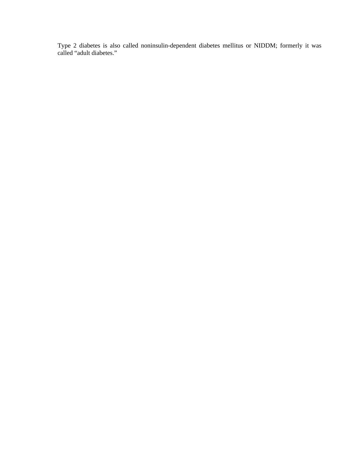Type 2 diabetes is also called noninsulin-dependent diabetes mellitus or NIDDM; formerly it was called "adult diabetes."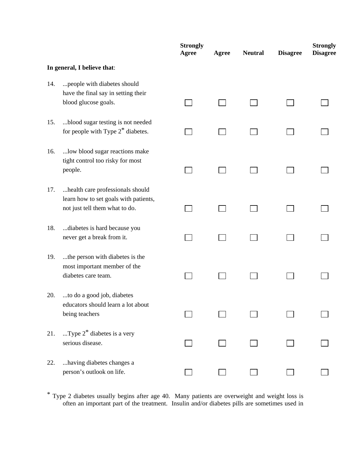|     |                                                                                                             | <b>Strongly</b><br><b>Agree</b> | Agree | <b>Neutral</b> | <b>Disagree</b> | <b>Strongly</b><br><b>Disagree</b> |
|-----|-------------------------------------------------------------------------------------------------------------|---------------------------------|-------|----------------|-----------------|------------------------------------|
|     | In general, I believe that:                                                                                 |                                 |       |                |                 |                                    |
| 14. | people with diabetes should<br>have the final say in setting their<br>blood glucose goals.                  |                                 |       |                |                 |                                    |
| 15. | blood sugar testing is not needed<br>for people with Type $2^*$ diabetes.                                   |                                 |       |                |                 |                                    |
| 16. | low blood sugar reactions make<br>tight control too risky for most<br>people.                               |                                 |       |                |                 |                                    |
| 17. | health care professionals should<br>learn how to set goals with patients,<br>not just tell them what to do. |                                 |       |                |                 |                                    |
| 18. | diabetes is hard because you<br>never get a break from it.                                                  |                                 |       |                |                 |                                    |
| 19. | the person with diabetes is the<br>most important member of the<br>diabetes care team.                      |                                 |       |                |                 |                                    |
| 20. | to do a good job, diabetes<br>educators should learn a lot about<br>being teachers                          |                                 |       |                |                 |                                    |
| 21. | Type $2^*$ diabetes is a very<br>serious disease.                                                           |                                 |       |                |                 |                                    |
| 22. | having diabetes changes a<br>person's outlook on life.                                                      |                                 |       |                |                 |                                    |

\* Type 2 diabetes usually begins after age 40. Many patients are overweight and weight loss is often an important part of the treatment. Insulin and/or diabetes pills are sometimes used in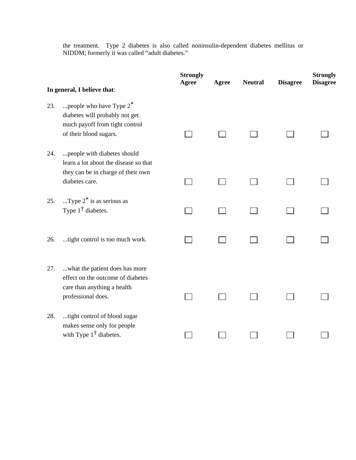the treatment. Type 2 diabetes is also called noninsulin-dependent diabetes mellitus or NIDDM; formerly it was called "adult diabetes."

|     | In general, I believe that:                                                                                                  | <b>Strongly</b><br>Agree | Agree | <b>Neutral</b> | <b>Disagree</b> | <b>Strongly</b><br><b>Disagree</b> |
|-----|------------------------------------------------------------------------------------------------------------------------------|--------------------------|-------|----------------|-----------------|------------------------------------|
| 23. | people who have Type $2^*$<br>diabetes will probably not get<br>much payoff from tight control<br>of their blood sugars.     |                          |       |                |                 |                                    |
| 24. | people with diabetes should<br>learn a lot about the disease so that<br>they can be in charge of their own<br>diabetes care. |                          |       |                |                 |                                    |
| 25. | Type $2^*$ is as serious as<br>Type $1^{\dagger}$ diabetes.                                                                  |                          |       |                |                 |                                    |
| 26. | tight control is too much work.                                                                                              |                          |       |                |                 |                                    |
| 27. | what the patient does has more<br>effect on the outcome of diabetes<br>care than anything a health<br>professional does.     |                          |       |                |                 |                                    |
| 28. | tight control of blood sugar<br>makes sense only for people<br>with Type $1^{\dagger}$ diabetes.                             |                          |       |                |                 |                                    |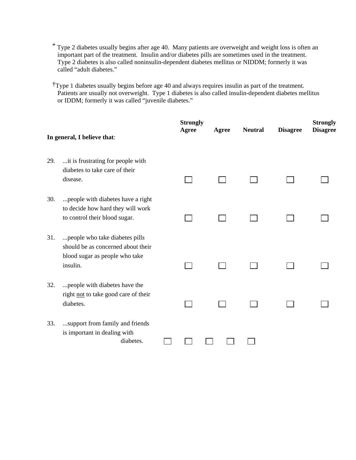- \* Type 2 diabetes usually begins after age 40. Many patients are overweight and weight loss is often an important part of the treatment. Insulin and/or diabetes pills are sometimes used in the treatment. Type 2 diabetes is also called noninsulin-dependent diabetes mellitus or NIDDM; formerly it was called "adult diabetes."
- †Type 1 diabetes usually begins before age 40 and always requires insulin as part of the treatment. Patients are usually not overweight. Type 1 diabetes is also called insulin-dependent diabetes mellitus or IDDM; formerly it was called "juvenile diabetes."

|     | In general, I believe that:                                                                                        | <b>Strongly</b><br>Agree | Agree | <b>Neutral</b> | <b>Disagree</b> | <b>Strongly</b><br><b>Disagree</b> |
|-----|--------------------------------------------------------------------------------------------------------------------|--------------------------|-------|----------------|-----------------|------------------------------------|
| 29. | it is frustrating for people with<br>diabetes to take care of their<br>disease.                                    |                          |       |                |                 |                                    |
| 30. | people with diabetes have a right<br>to decide how hard they will work<br>to control their blood sugar.            |                          |       |                |                 |                                    |
| 31. | people who take diabetes pills<br>should be as concerned about their<br>blood sugar as people who take<br>insulin. |                          |       |                |                 |                                    |
| 32. | people with diabetes have the<br>right not to take good care of their<br>diabetes.                                 |                          |       |                |                 |                                    |
| 33. | support from family and friends<br>is important in dealing with<br>diabetes.                                       |                          |       |                |                 |                                    |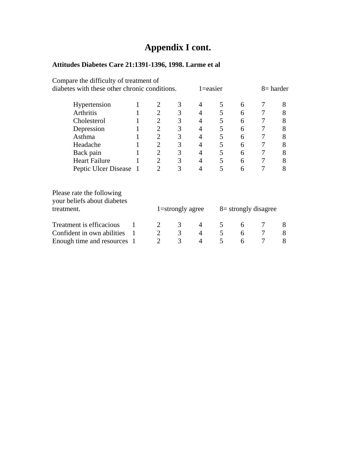# **Appendix I cont.**

## **Attitudes Diabetes Care 21:1391-1396, 1998. Larme et al**

| Compare the difficulty of treatment of                                 |              |                |                  |                |   |                         |            |   |
|------------------------------------------------------------------------|--------------|----------------|------------------|----------------|---|-------------------------|------------|---|
| diabetes with these other chronic conditions.                          |              |                |                  | $1 = easier$   |   |                         | 8 = harder |   |
| Hypertension                                                           | 1            |                | 3                | 4              | 5 | 6                       | 7          | 8 |
| Arthritis                                                              |              | $\overline{2}$ | 3                | $\overline{4}$ | 5 | 6                       | 7          | 8 |
| Cholesterol                                                            |              | $\overline{2}$ | 3                | 4              | 5 | 6                       | 7          | 8 |
| Depression                                                             |              | $\overline{2}$ | 3                | 4              | 5 | 6                       | 7          | 8 |
| Asthma                                                                 |              | $\overline{2}$ | 3                | $\overline{4}$ | 5 | 6                       | 7          | 8 |
| Headache                                                               |              | $\overline{2}$ | 3                | 4              | 5 | 6                       | 7          | 8 |
| Back pain                                                              |              | $\overline{2}$ | 3                | $\overline{4}$ | 5 | 6                       | 7          | 8 |
| <b>Heart Failure</b>                                                   |              | $\overline{2}$ | 3                | $\overline{4}$ | 5 | 6                       | 7          | 8 |
| Peptic Ulcer Disease 1                                                 |              | $\overline{2}$ | 3                | 4              | 5 | 6                       | 7          | 8 |
| Please rate the following<br>your beliefs about diabetes<br>treatment. |              |                | 1=strongly agree |                |   | $8 =$ strongly disagree |            |   |
| Treatment is efficacious                                               |              | 2              | 3                | 4              | 5 | 6                       | 7          | 8 |
| Confident in own abilities                                             | $\mathbf{1}$ | $\overline{2}$ | 3                | $\overline{4}$ | 5 | 6                       | 7          | 8 |
| Enough time and resources 1                                            |              | $\mathfrak{D}$ | 3                | 4              | 5 | 6                       |            | 8 |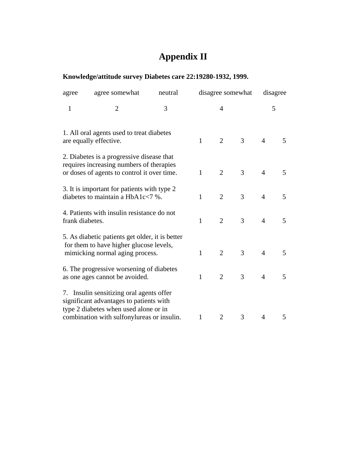# **Appendix II**

## **Knowledge/attitude survey Diabetes care 22:19280-1932, 1999.**

| agree                                                                                                                                | agree somewhat                                                                                                                                                             | neutral |              | disagree somewhat |   |                | disagree |  |
|--------------------------------------------------------------------------------------------------------------------------------------|----------------------------------------------------------------------------------------------------------------------------------------------------------------------------|---------|--------------|-------------------|---|----------------|----------|--|
| $\mathbf{1}$                                                                                                                         | $\overline{2}$                                                                                                                                                             | 3       | 4            |                   |   | 5              |          |  |
|                                                                                                                                      | 1. All oral agents used to treat diabetes<br>are equally effective.                                                                                                        |         | $\mathbf{1}$ | $\overline{2}$    | 3 | $\overline{4}$ | 5        |  |
| 2. Diabetes is a progressive disease that<br>requires increasing numbers of therapies<br>or doses of agents to control it over time. |                                                                                                                                                                            |         | $\mathbf{1}$ | $\overline{2}$    | 3 | $\overline{4}$ | 5        |  |
|                                                                                                                                      | 3. It is important for patients with type 2<br>diabetes to maintain a $HbA1c<7$ %.                                                                                         |         | $\mathbf{1}$ | $\overline{2}$    | 3 | $\overline{4}$ | 5        |  |
| frank diabetes.                                                                                                                      | 4. Patients with insulin resistance do not                                                                                                                                 |         | $\mathbf{1}$ | $\overline{2}$    | 3 | $\overline{4}$ | 5        |  |
|                                                                                                                                      | 5. As diabetic patients get older, it is better<br>for them to have higher glucose levels,<br>mimicking normal aging process.                                              |         | $\mathbf{1}$ | $\overline{2}$    | 3 | $\overline{4}$ | 5        |  |
|                                                                                                                                      | 6. The progressive worsening of diabetes<br>as one ages cannot be avoided.                                                                                                 |         | $\mathbf{1}$ | $\overline{2}$    | 3 | 4              | 5        |  |
|                                                                                                                                      | 7. Insulin sensitizing oral agents offer<br>significant advantages to patients with<br>type 2 diabetes when used alone or in<br>combination with sulfonylureas or insulin. |         | $\mathbf{1}$ | $\overline{2}$    | 3 | $\overline{4}$ | 5        |  |
|                                                                                                                                      |                                                                                                                                                                            |         |              |                   |   |                |          |  |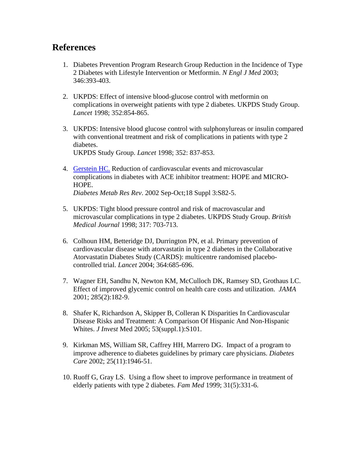## **References**

- 1. Diabetes Prevention Program Research Group Reduction in the Incidence of Type 2 Diabetes with Lifestyle Intervention or Metformin. *N Engl J Med* 2003; 346:393-403.
- 2. UKPDS: Effect of intensive blood-glucose control with metformin on complications in overweight patients with type 2 diabetes. UKPDS Study Group. *Lancet* 1998; 352:854-865.
- 3. UKPDS: Intensive blood glucose control with sulphonylureas or insulin compared with conventional treatment and risk of complications in patients with type 2 diabetes.

UKPDS Study Group. *Lancet* 1998; 352: 837-853.

- 4. Gerstein HC. Reduction of cardiovascular events and microvascular complications in diabetes with ACE inhibitor treatment: HOPE and MICRO-HOPE. *Diabetes Metab Res Rev*. 2002 Sep-Oct;18 Suppl 3:S82-5.
- 5. UKPDS: Tight blood pressure control and risk of macrovascular and microvascular complications in type 2 diabetes. UKPDS Study Group. *British Medical Journal* 1998; 317: 703-713.
- 6. Colhoun HM, Betteridge DJ, Durrington PN, et al. Primary prevention of cardiovascular disease with atorvastatin in type 2 diabetes in the Collaborative Atorvastatin Diabetes Study (CARDS): multicentre randomised placebocontrolled trial. *Lancet* 2004; 364:685-696.
- 7. Wagner EH, Sandhu N, Newton KM, McCulloch DK, Ramsey SD, Grothaus LC. Effect of improved glycemic control on health care costs and utilization. *JAMA* 2001; 285(2):182-9.
- 8. Shafer K, Richardson A, Skipper B, Colleran K Disparities In Cardiovascular Disease Risks and Treatment: A Comparison Of Hispanic And Non-Hispanic Whites. *J Invest* Med 2005; 53(suppl.1):S101.
- 9. Kirkman MS, William SR, Caffrey HH, Marrero DG. Impact of a program to improve adherence to diabetes guidelines by primary care physicians. *Diabetes Care* 2002; 25(11):1946-51.
- 10. Ruoff G, Gray LS. Using a flow sheet to improve performance in treatment of elderly patients with type 2 diabetes. *Fam Med* 1999; 31(5):331-6.